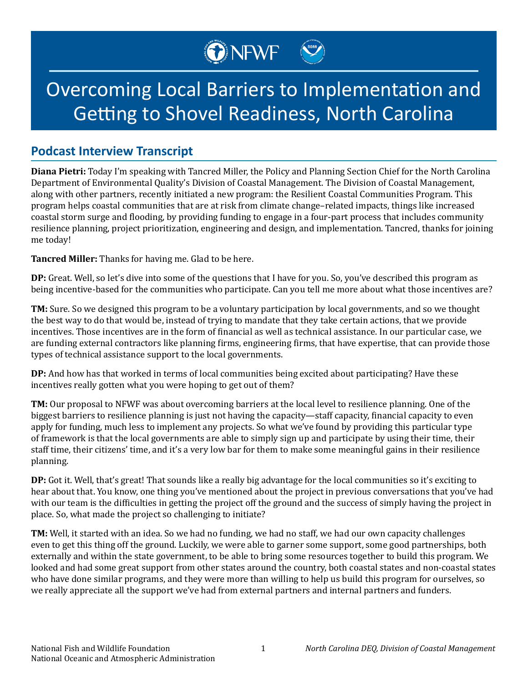## Overcoming Local Barriers to Implementation and Getting to Shovel Readiness, North Carolina

ONEWF

## **Podcast Interview Transcript**

**Diana Pietri:** Today I'm speaking with Tancred Miller, the Policy and Planning Section Chief for the North Carolina Department of Environmental Quality's Division of Coastal Management. The Division of Coastal Management, along with other partners, recently initiated a new program: the Resilient Coastal Communities Program. This program helps coastal communities that are at risk from climate change–related impacts, things like increased coastal storm surge and flooding, by providing funding to engage in a four-part process that includes community resilience planning, project prioritization, engineering and design, and implementation. Tancred, thanks for joining me today!

**Tancred Miller:** Thanks for having me. Glad to be here.

**DP:** Great. Well, so let's dive into some of the questions that I have for you. So, you've described this program as being incentive-based for the communities who participate. Can you tell me more about what those incentives are?

**TM:** Sure. So we designed this program to be a voluntary participation by local governments, and so we thought the best way to do that would be, instead of trying to mandate that they take certain actions, that we provide incentives. Those incentives are in the form of financial as well as technical assistance. In our particular case, we are funding external contractors like planning firms, engineering firms, that have expertise, that can provide those types of technical assistance support to the local governments.

**DP:** And how has that worked in terms of local communities being excited about participating? Have these incentives really gotten what you were hoping to get out of them?

**TM:** Our proposal to NFWF was about overcoming barriers at the local level to resilience planning. One of the biggest barriers to resilience planning is just not having the capacity—staff capacity, financial capacity to even apply for funding, much less to implement any projects. So what we've found by providing this particular type of framework is that the local governments are able to simply sign up and participate by using their time, their staff time, their citizens' time, and it's a very low bar for them to make some meaningful gains in their resilience planning.

**DP:** Got it. Well, that's great! That sounds like a really big advantage for the local communities so it's exciting to hear about that. You know, one thing you've mentioned about the project in previous conversations that you've had with our team is the difficulties in getting the project off the ground and the success of simply having the project in place. So, what made the project so challenging to initiate?

**TM:** Well, it started with an idea. So we had no funding, we had no staff, we had our own capacity challenges even to get this thing off the ground. Luckily, we were able to garner some support, some good partnerships, both externally and within the state government, to be able to bring some resources together to build this program. We looked and had some great support from other states around the country, both coastal states and non-coastal states who have done similar programs, and they were more than willing to help us build this program for ourselves, so we really appreciate all the support we've had from external partners and internal partners and funders.